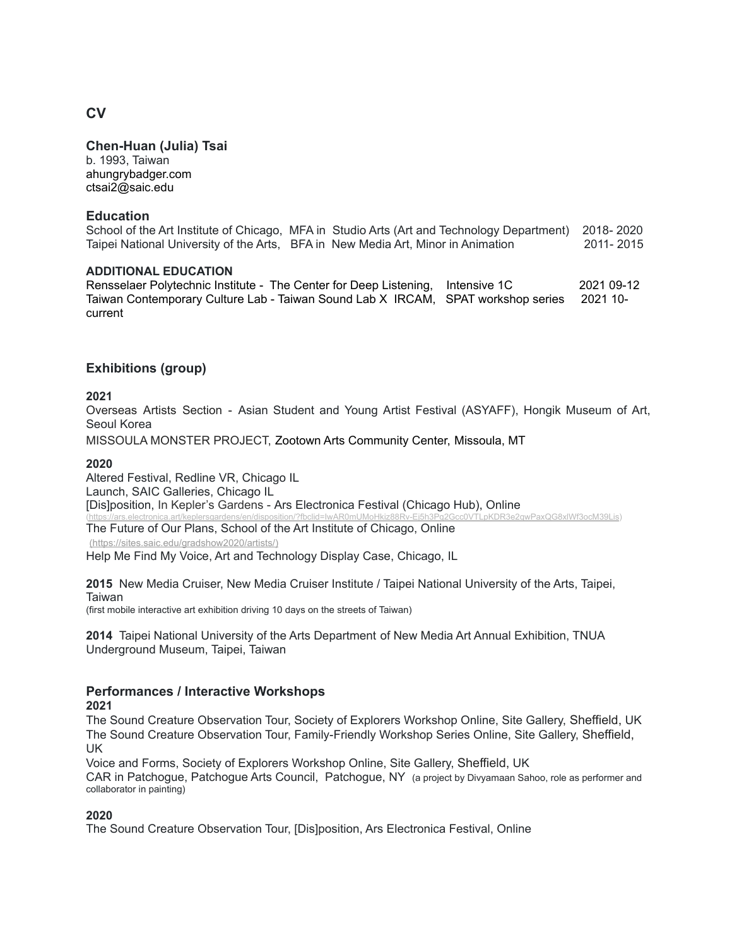**Chen-Huan (Julia) Tsai**

b. 1993, Taiwan [ahungrybadger.com](https://www.ahungrybadger.com/) [ctsai2@saic.edu](mailto:ctsai2@saic.edu)

## **Education**

School of the Art Institute of Chicago, MFA in Studio Arts (Art and Technology Department) 2018- 2020 Taipei National University of the Arts, BFA in New Media Art, Minor in Animation 2011- 2015

### **ADDITIONAL EDUCATION**

Rensselaer Polytechnic Institute - The Center for Deep Listening, Intensive 1C 2021 09-12 Taiwan Contemporary Culture Lab - Taiwan Sound Lab X IRCAM, SPAT workshop series 2021 10 current

# **Exhibitions (group)**

### **2021**

Overseas Artists Section - Asian Student and Young Artist Festival (ASYAFF), Hongik Museum of Art, Seoul Korea

MISSOULA MONSTER PROJECT, Zootown Arts Community Center, Missoula, MT

#### **2020**

Altered Festival, Redline VR, Chicago IL Launch, SAIC Galleries, Chicago IL [Dis]position, In Kepler's Gardens - Ars Electronica Festival (Chicago Hub), Online (https://arcelonica.art/identica.artt/keplering/disposition/

The Future of Our Plans, School of the Art Institute of Chicago, Online

[\(https://sites.saic.edu/gradshow2020/artists/\)](https://sites.saic.edu/gradshow2020/artists/))

Help Me Find My Voice, Art and Technology Display Case, Chicago, IL

**2015** New Media Cruiser, New Media Cruiser Institute / Taipei National University of the Arts, Taipei, Taiwan

(first mobile interactive art exhibition driving 10 days on the streets of Taiwan)

**2014** Taipei National University of the Arts Department of New Media Art Annual Exhibition, TNUA Underground Museum, Taipei, Taiwan

## **Performances / Interactive Workshops**

# **2021**

The Sound Creature Observation Tour, Society of Explorers Workshop Online, Site Gallery, Sheffield, UK The Sound Creature Observation Tour, Family-Friendly Workshop Series Online, Site Gallery, Sheffield, UK

Voice and Forms, Society of Explorers Workshop Online, Site Gallery, Sheffield, UK

CAR in Patchogue, Patchogue Arts Council, Patchogue, NY (a project by Divyamaan Sahoo, role as performer and collaborator in painting)

## **2020**

The Sound Creature Observation Tour, [Dis]position, Ars Electronica Festival, Online

# **CV**